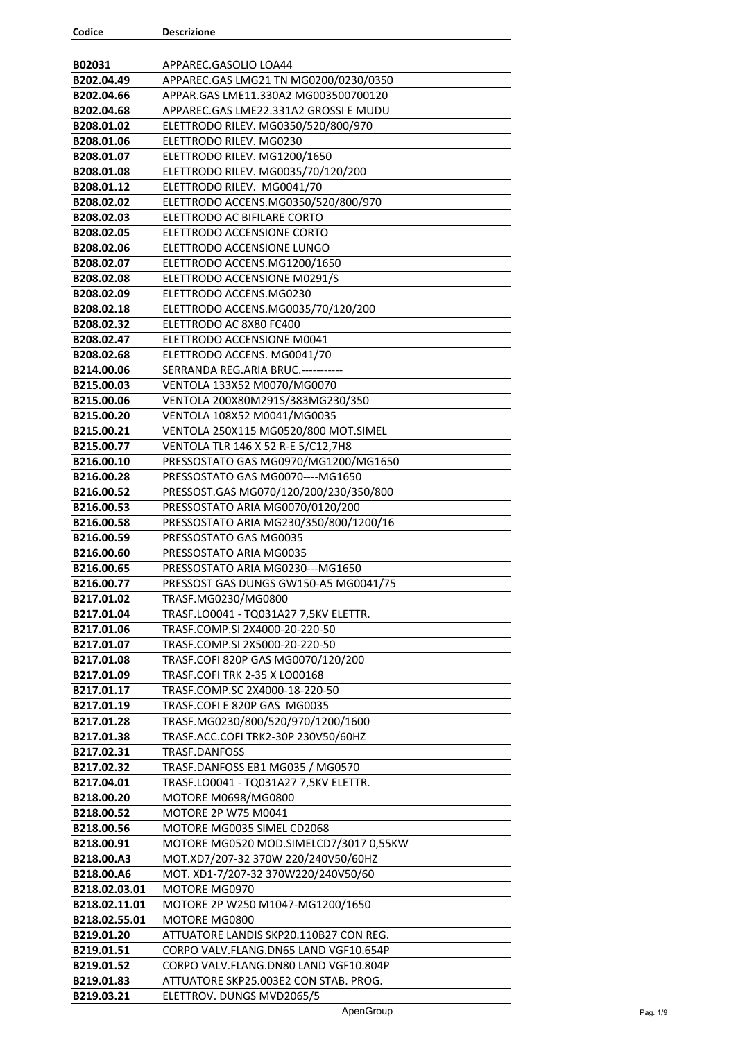| Codice                   | <b>Descrizione</b>                                                              |
|--------------------------|---------------------------------------------------------------------------------|
|                          |                                                                                 |
| B02031                   | APPAREC.GASOLIO LOA44                                                           |
| B202.04.49               | APPAREC.GAS LMG21 TN MG0200/0230/0350                                           |
| B202.04.66               | APPAR.GAS LME11.330A2 MG003500700120                                            |
| B202.04.68               | APPAREC.GAS LME22.331A2 GROSSI E MUDU                                           |
| B208.01.02               | ELETTRODO RILEV. MG0350/520/800/970                                             |
| B208.01.06               | ELETTRODO RILEV. MG0230                                                         |
| B208.01.07               | ELETTRODO RILEV. MG1200/1650                                                    |
| B208.01.08               | ELETTRODO RILEV. MG0035/70/120/200                                              |
| B208.01.12               | ELETTRODO RILEV. MG0041/70                                                      |
| B208.02.02               | ELETTRODO ACCENS.MG0350/520/800/970                                             |
| B208.02.03               | ELETTRODO AC BIFILARE CORTO                                                     |
| B208.02.05               | ELETTRODO ACCENSIONE CORTO                                                      |
| B208.02.06               | ELETTRODO ACCENSIONE LUNGO                                                      |
| B208.02.07               | ELETTRODO ACCENS.MG1200/1650                                                    |
| B208.02.08               | ELETTRODO ACCENSIONE M0291/S                                                    |
| B208.02.09               | ELETTRODO ACCENS.MG0230                                                         |
| B208.02.18               | ELETTRODO ACCENS.MG0035/70/120/200                                              |
| B208.02.32               | ELETTRODO AC 8X80 FC400                                                         |
| B208.02.47               | ELETTRODO ACCENSIONE M0041                                                      |
| B208.02.68               | ELETTRODO ACCENS. MG0041/70                                                     |
| B214.00.06               | SERRANDA REG.ARIA BRUC.-----------                                              |
| B215.00.03               | VENTOLA 133X52 M0070/MG0070                                                     |
| B215.00.06               | VENTOLA 200X80M291S/383MG230/350                                                |
| B215.00.20               | VENTOLA 108X52 M0041/MG0035                                                     |
| B215.00.21               | VENTOLA 250X115 MG0520/800 MOT.SIMEL                                            |
| B215.00.77               | VENTOLA TLR 146 X 52 R-E 5/C12,7H8                                              |
| B216.00.10               | PRESSOSTATO GAS MG0970/MG1200/MG1650                                            |
| B216.00.28               | PRESSOSTATO GAS MG0070---- MG1650                                               |
| B216.00.52               | PRESSOST.GAS MG070/120/200/230/350/800                                          |
| B216.00.53               | PRESSOSTATO ARIA MG0070/0120/200                                                |
| B216.00.58               | PRESSOSTATO ARIA MG230/350/800/1200/16                                          |
| B216.00.59               | PRESSOSTATO GAS MG0035                                                          |
| B216.00.60               | PRESSOSTATO ARIA MG0035                                                         |
| B216.00.65               | PRESSOSTATO ARIA MG0230--- MG1650                                               |
| B216.00.77               | PRESSOST GAS DUNGS GW150-A5 MG0041/75                                           |
| B217.01.02               | TRASF.MG0230/MG0800                                                             |
| B217.01.04               | TRASF.LO0041 - TQ031A27 7,5KV ELETTR.                                           |
| B217.01.06               | TRASF.COMP.SI 2X4000-20-220-50                                                  |
| B217.01.07               | TRASF.COMP.SI 2X5000-20-220-50                                                  |
| B217.01.08               | TRASF.COFI 820P GAS MG0070/120/200                                              |
| B217.01.09               | TRASF.COFI TRK 2-35 X LO00168                                                   |
| B217.01.17               | TRASF.COMP.SC 2X4000-18-220-50                                                  |
| B217.01.19               | TRASF.COFI E 820P GAS MG0035                                                    |
| B217.01.28               | TRASF.MG0230/800/520/970/1200/1600                                              |
| B217.01.38               | TRASF.ACC.COFI TRK2-30P 230V50/60HZ                                             |
| B217.02.31               | TRASF.DANFOSS                                                                   |
| B217.02.32               | TRASF.DANFOSS EB1 MG035 / MG0570                                                |
| B217.04.01               | TRASF.LO0041 - TQ031A27 7,5KV ELETTR.                                           |
| B218.00.20               | MOTORE M0698/MG0800                                                             |
| B218.00.52               | MOTORE 2P W75 M0041                                                             |
| B218.00.56               | MOTORE MG0035 SIMEL CD2068                                                      |
| B218.00.91               | MOTORE MG0520 MOD.SIMELCD7/3017 0,55KW                                          |
| B218.00.A3               | MOT.XD7/207-32 370W 220/240V50/60HZ                                             |
| B218.00.A6               | MOT. XD1-7/207-32 370W220/240V50/60                                             |
|                          |                                                                                 |
| B218.02.03.01            | MOTORE MG0970                                                                   |
| B218.02.11.01            | MOTORE 2P W250 M1047-MG1200/1650                                                |
| B218.02.55.01            | MOTORE MG0800                                                                   |
| B219.01.20<br>B219.01.51 | ATTUATORE LANDIS SKP20.110B27 CON REG.<br>CORPO VALV.FLANG.DN65 LAND VGF10.654P |
| B219.01.52               | CORPO VALV.FLANG.DN80 LAND VGF10.804P                                           |
|                          |                                                                                 |
| B219.01.83<br>B219.03.21 | ATTUATORE SKP25.003E2 CON STAB. PROG.<br>ELETTROV. DUNGS MVD2065/5              |
|                          |                                                                                 |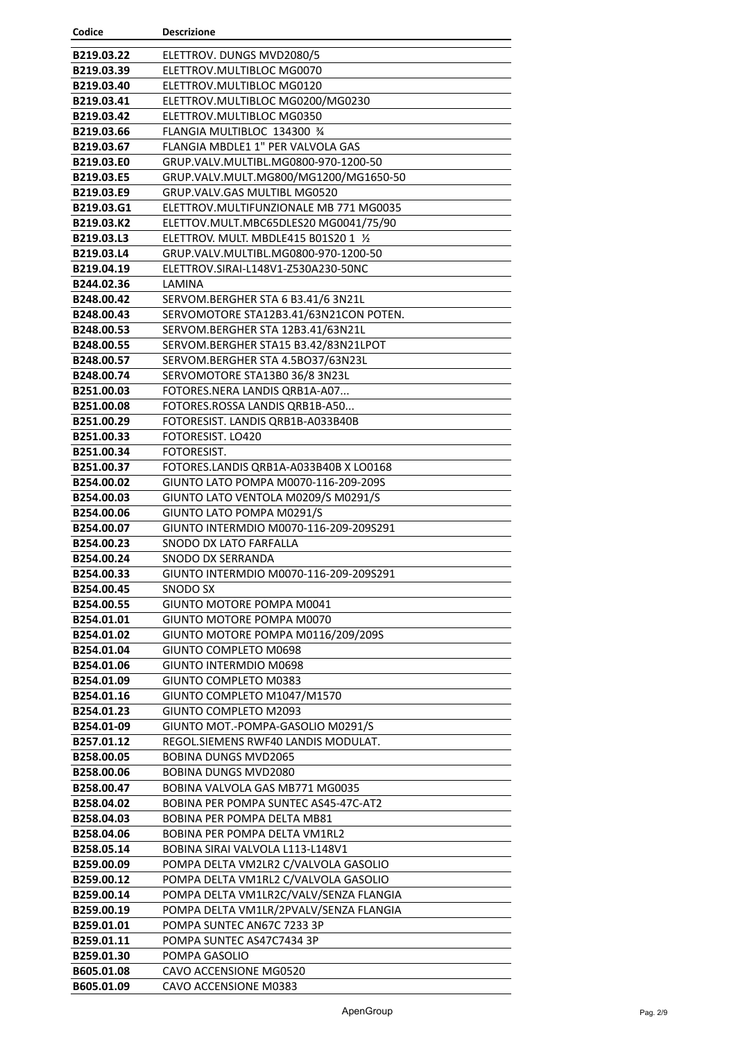| Codice                   | <b>Descrizione</b>                                              |
|--------------------------|-----------------------------------------------------------------|
| B219.03.22               | ELETTROV. DUNGS MVD2080/5                                       |
| B219.03.39               | ELETTROV.MULTIBLOC MG0070                                       |
| B219.03.40               | ELETTROV.MULTIBLOC MG0120                                       |
| B219.03.41               | ELETTROV.MULTIBLOC MG0200/MG0230                                |
| B219.03.42               | ELETTROV.MULTIBLOC MG0350                                       |
| B219.03.66               | FLANGIA MULTIBLOC 134300 %                                      |
| B219.03.67               | FLANGIA MBDLE1 1" PER VALVOLA GAS                               |
| B219.03.E0               | GRUP.VALV.MULTIBL.MG0800-970-1200-50                            |
| B219.03.E5               | GRUP.VALV.MULT.MG800/MG1200/MG1650-50                           |
| B219.03.E9               | GRUP.VALV.GAS MULTIBL MG0520                                    |
| B219.03.G1               | ELETTROV.MULTIFUNZIONALE MB 771 MG0035                          |
| B219.03.K2               | ELETTOV.MULT.MBC65DLES20 MG0041/75/90                           |
| B219.03.L3               | ELETTROV. MULT. MBDLE415 B01S20 1 1/2                           |
| B219.03.L4               | GRUP.VALV.MULTIBL.MG0800-970-1200-50                            |
| B219.04.19               | ELETTROV.SIRAI-L148V1-Z530A230-50NC                             |
| B244.02.36               | LAMINA                                                          |
| B248.00.42               | SERVOM.BERGHER STA 6 B3.41/6 3N21L                              |
| B248.00.43               | SERVOMOTORE STA12B3.41/63N21CON POTEN.                          |
| B248.00.53               | SERVOM.BERGHER STA 12B3.41/63N21L                               |
| B248.00.55               | SERVOM.BERGHER STA15 B3.42/83N21LPOT                            |
| B248.00.57               | SERVOM.BERGHER STA 4.5BO37/63N23L                               |
| B248.00.74               | SERVOMOTORE STA13B0 36/8 3N23L                                  |
| B251.00.03               | FOTORES.NERA LANDIS QRB1A-A07                                   |
| B251.00.08               | FOTORES.ROSSA LANDIS QRB1B-A50                                  |
| B251.00.29               | FOTORESIST. LANDIS QRB1B-A033B40B                               |
| B251.00.33               | FOTORESIST. LO420                                               |
| B251.00.34               | FOTORESIST.                                                     |
| B251.00.37               | FOTORES.LANDIS QRB1A-A033B40B X LO0168                          |
| B254.00.02               | GIUNTO LATO POMPA M0070-116-209-209S                            |
| B254.00.03               | GIUNTO LATO VENTOLA M0209/S M0291/S                             |
| B254.00.06               | GIUNTO LATO POMPA M0291/S                                       |
| B254.00.07               | GIUNTO INTERMDIO M0070-116-209-209S291                          |
| B254.00.23               | SNODO DX LATO FARFALLA                                          |
| B254.00.24               | SNODO DX SERRANDA                                               |
| B254.00.33               | GIUNTO INTERMDIO M0070-116-209-209S291                          |
| B254.00.45               | SNODO SX                                                        |
| B254.00.55               | GIUNTO MOTORE POMPA M0041                                       |
| B254.01.01               | GIUNTO MOTORE POMPA M0070<br>GIUNTO MOTORE POMPA M0116/209/209S |
| B254.01.02<br>B254.01.04 | GIUNTO COMPLETO M0698                                           |
| B254.01.06               | GIUNTO INTERMDIO M0698                                          |
| B254.01.09               | GIUNTO COMPLETO M0383                                           |
| B254.01.16               | GIUNTO COMPLETO M1047/M1570                                     |
| B254.01.23               | GIUNTO COMPLETO M2093                                           |
| B254.01-09               | GIUNTO MOT.-POMPA-GASOLIO M0291/S                               |
| B257.01.12               | REGOL. SIEMENS RWF40 LANDIS MODULAT.                            |
| B258.00.05               | <b>BOBINA DUNGS MVD2065</b>                                     |
| B258.00.06               | <b>BOBINA DUNGS MVD2080</b>                                     |
| B258.00.47               | BOBINA VALVOLA GAS MB771 MG0035                                 |
| B258.04.02               | BOBINA PER POMPA SUNTEC AS45-47C-AT2                            |
| B258.04.03               | BOBINA PER POMPA DELTA MB81                                     |
| B258.04.06               | <b>BOBINA PER POMPA DELTA VM1RL2</b>                            |
| B258.05.14               | BOBINA SIRAI VALVOLA L113-L148V1                                |
| B259.00.09               | POMPA DELTA VM2LR2 C/VALVOLA GASOLIO                            |
| B259.00.12               | POMPA DELTA VM1RL2 C/VALVOLA GASOLIO                            |
| B259.00.14               | POMPA DELTA VM1LR2C/VALV/SENZA FLANGIA                          |
| B259.00.19               | POMPA DELTA VM1LR/2PVALV/SENZA FLANGIA                          |
| B259.01.01               | POMPA SUNTEC AN67C 7233 3P                                      |
| B259.01.11               | POMPA SUNTEC AS47C7434 3P                                       |
| B259.01.30               | POMPA GASOLIO                                                   |
| B605.01.08               | CAVO ACCENSIONE MG0520                                          |
| B605.01.09               | CAVO ACCENSIONE M0383                                           |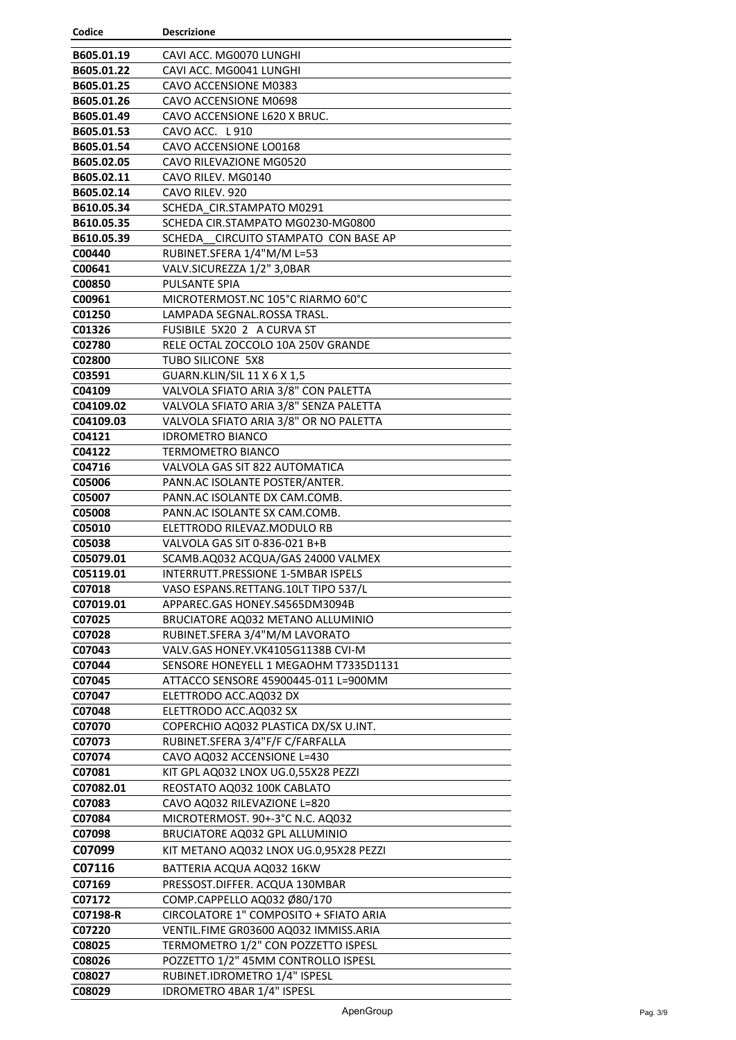| Codice              | <b>Descrizione</b>                                                    |
|---------------------|-----------------------------------------------------------------------|
| B605.01.19          | CAVI ACC. MG0070 LUNGHI                                               |
| B605.01.22          | CAVI ACC. MG0041 LUNGHI                                               |
| B605.01.25          | CAVO ACCENSIONE M0383                                                 |
| B605.01.26          | CAVO ACCENSIONE M0698                                                 |
| B605.01.49          | CAVO ACCENSIONE L620 X BRUC.                                          |
| B605.01.53          | CAVO ACC. L 910                                                       |
| B605.01.54          | CAVO ACCENSIONE LO0168                                                |
| B605.02.05          | CAVO RILEVAZIONE MG0520                                               |
| B605.02.11          | CAVO RILEV. MG0140                                                    |
| B605.02.14          | CAVO RILEV. 920                                                       |
| B610.05.34          | SCHEDA CIR.STAMPATO M0291                                             |
| B610.05.35          | SCHEDA CIR.STAMPATO MG0230-MG0800                                     |
| B610.05.39          | SCHEDA CIRCUITO STAMPATO CON BASE AP                                  |
| C00440              | RUBINET.SFERA 1/4"M/M L=53                                            |
| C00641              | VALV.SICUREZZA 1/2" 3,0BAR                                            |
| C00850              | <b>PULSANTE SPIA</b>                                                  |
| C00961              | MICROTERMOST.NC 105°C RIARMO 60°C                                     |
| C01250              | LAMPADA SEGNAL.ROSSA TRASL.                                           |
| C01326              | FUSIBILE 5X20 2 A CURVA ST                                            |
| C02780              | RELE OCTAL ZOCCOLO 10A 250V GRANDE                                    |
| C02800              | TUBO SILICONE 5X8                                                     |
| C03591              | <b>GUARN.KLIN/SIL 11 X 6 X 1,5</b>                                    |
| C04109              | VALVOLA SFIATO ARIA 3/8" CON PALETTA                                  |
| C04109.02           | VALVOLA SFIATO ARIA 3/8" SENZA PALETTA                                |
| C04109.03           | VALVOLA SFIATO ARIA 3/8" OR NO PALETTA                                |
| C04121              | <b>IDROMETRO BIANCO</b>                                               |
| C04122              | TERMOMETRO BIANCO                                                     |
| C04716              | VALVOLA GAS SIT 822 AUTOMATICA                                        |
| C05006              | PANN.AC ISOLANTE POSTER/ANTER.                                        |
| C05007              | PANN.AC ISOLANTE DX CAM.COMB.                                         |
| C05008              | PANN.AC ISOLANTE SX CAM.COMB.                                         |
| C05010              | ELETTRODO RILEVAZ.MODULO RB                                           |
| C05038              | VALVOLA GAS SIT 0-836-021 B+B                                         |
| C05079.01           | SCAMB.AQ032 ACQUA/GAS 24000 VALMEX                                    |
| C05119.01           | <b>INTERRUTT.PRESSIONE 1-5MBAR ISPELS</b>                             |
| C07018<br>C07019.01 | VASO ESPANS.RETTANG.10LT TIPO 537/L<br>APPAREC.GAS HONEY.S4565DM3094B |
| C07025              | BRUCIATORE AQ032 METANO ALLUMINIO                                     |
| C07028              | RUBINET.SFERA 3/4"M/M LAVORATO                                        |
| C07043              | VALV.GAS HONEY.VK4105G1138B CVI-M                                     |
| C07044              | SENSORE HONEYELL 1 MEGAOHM T7335D1131                                 |
| C07045              | ATTACCO SENSORE 45900445-011 L=900MM                                  |
| C07047              | ELETTRODO ACC.AQ032 DX                                                |
| C07048              | ELETTRODO ACC.AQ032 SX                                                |
| C07070              | COPERCHIO AQ032 PLASTICA DX/SX U.INT.                                 |
| C07073              | RUBINET.SFERA 3/4"F/F C/FARFALLA                                      |
| C07074              | CAVO AQ032 ACCENSIONE L=430                                           |
| C07081              | KIT GPL AQ032 LNOX UG.0,55X28 PEZZI                                   |
| C07082.01           | REOSTATO AQ032 100K CABLATO                                           |
| C07083              | CAVO AQ032 RILEVAZIONE L=820                                          |
| C07084              | MICROTERMOST. 90+-3°C N.C. AQ032                                      |
| C07098              | BRUCIATORE AQ032 GPL ALLUMINIO                                        |
| C07099              | KIT METANO AQ032 LNOX UG.0,95X28 PEZZI                                |
| C07116              | BATTERIA ACQUA AQ032 16KW                                             |
| C07169              | PRESSOST.DIFFER. ACQUA 130MBAR                                        |
| C07172              | COMP.CAPPELLO AQ032 Ø80/170                                           |
| C07198-R            | CIRCOLATORE 1" COMPOSITO + SFIATO ARIA                                |
| C07220              | VENTIL.FIME GR03600 AQ032 IMMISS.ARIA                                 |
| C08025              | TERMOMETRO 1/2" CON POZZETTO ISPESL                                   |
| C08026              | POZZETTO 1/2" 45MM CONTROLLO ISPESL                                   |
| C08027              | RUBINET.IDROMETRO 1/4" ISPESL                                         |
| C08029              | IDROMETRO 4BAR 1/4" ISPESL                                            |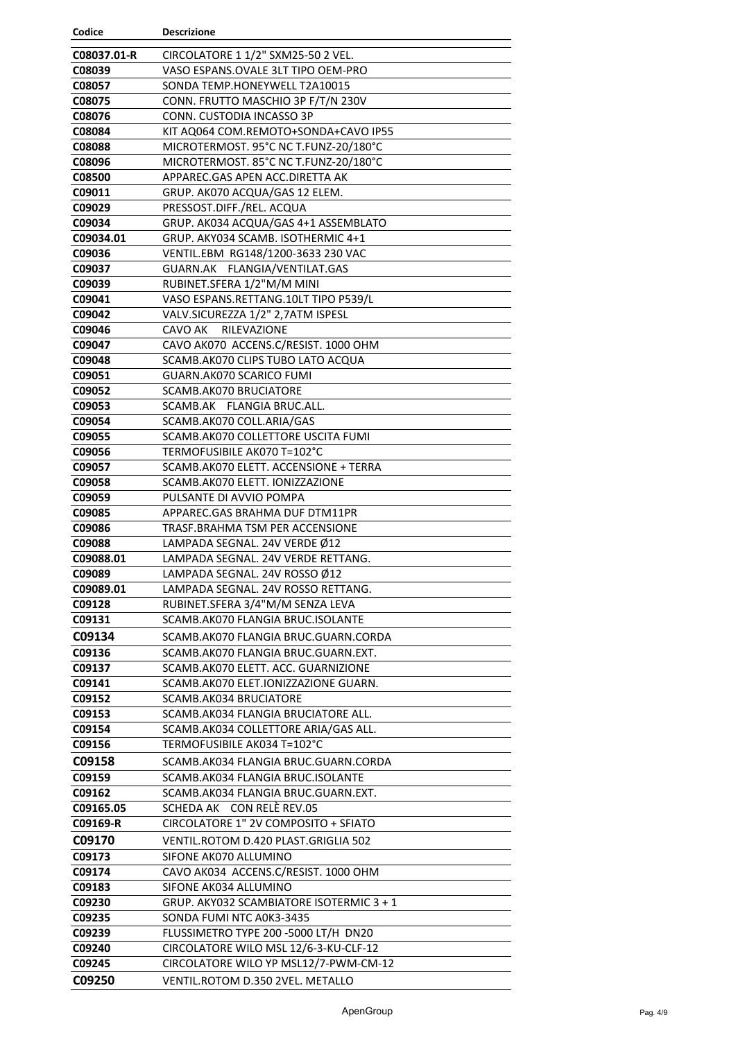| Codice              | <b>Descrizione</b>                                                  |
|---------------------|---------------------------------------------------------------------|
| C08037.01-R         | CIRCOLATORE 1 1/2" SXM25-50 2 VEL.                                  |
| C08039              | VASO ESPANS.OVALE 3LT TIPO OEM-PRO                                  |
| C08057              | SONDA TEMP.HONEYWELL T2A10015                                       |
| C08075              | CONN. FRUTTO MASCHIO 3P F/T/N 230V                                  |
| C08076              | CONN. CUSTODIA INCASSO 3P                                           |
| C08084              | KIT AQ064 COM.REMOTO+SONDA+CAVO IP55                                |
| C08088              | MICROTERMOST. 95°C NC T.FUNZ-20/180°C                               |
| C08096              | MICROTERMOST. 85°C NC T.FUNZ-20/180°C                               |
| C08500              | APPAREC.GAS APEN ACC.DIRETTA AK                                     |
| C09011              | GRUP. AK070 ACQUA/GAS 12 ELEM.                                      |
| C09029              | PRESSOST.DIFF./REL. ACQUA                                           |
| C09034              | GRUP. AK034 ACQUA/GAS 4+1 ASSEMBLATO                                |
| C09034.01           | GRUP. AKY034 SCAMB. ISOTHERMIC 4+1                                  |
| C09036              | VENTIL.EBM RG148/1200-3633 230 VAC                                  |
| C09037              | GUARN.AK FLANGIA/VENTILAT.GAS                                       |
| C09039              | RUBINET.SFERA 1/2"M/M MINI                                          |
| C09041              | VASO ESPANS.RETTANG.10LT TIPO P539/L                                |
| C09042              | VALV.SICUREZZA 1/2" 2,7ATM ISPESL                                   |
| C09046              | CAVO AK<br><b>RILEVAZIONE</b>                                       |
| C09047              | CAVO AK070 ACCENS.C/RESIST. 1000 OHM                                |
| C09048              | SCAMB.AK070 CLIPS TUBO LATO ACQUA                                   |
| C09051              | GUARN.AK070 SCARICO FUMI                                            |
| C09052              | SCAMB.AK070 BRUCIATORE                                              |
| C09053              | SCAMB.AK FLANGIA BRUC.ALL.                                          |
| C09054              | SCAMB.AK070 COLL.ARIA/GAS                                           |
| C09055              | SCAMB.AK070 COLLETTORE USCITA FUMI                                  |
| C09056              | TERMOFUSIBILE AK070 T=102°C                                         |
| C09057              | SCAMB.AK070 ELETT. ACCENSIONE + TERRA                               |
| C09058              | SCAMB.AK070 ELETT. IONIZZAZIONE                                     |
| C09059              | PULSANTE DI AVVIO POMPA                                             |
| C09085              | APPAREC.GAS BRAHMA DUF DTM11PR                                      |
| C09086              | TRASF.BRAHMA TSM PER ACCENSIONE                                     |
| C09088              | LAMPADA SEGNAL. 24V VERDE Ø12                                       |
| C09088.01           | LAMPADA SEGNAL. 24V VERDE RETTANG.                                  |
| C09089<br>C09089.01 | LAMPADA SEGNAL. 24V ROSSO Ø12<br>LAMPADA SEGNAL. 24V ROSSO RETTANG. |
| C09128              | RUBINET.SFERA 3/4"M/M SENZA LEVA                                    |
| C09131              | SCAMB.AK070 FLANGIA BRUC.ISOLANTE                                   |
| C09134              | SCAMB.AK070 FLANGIA BRUC.GUARN.CORDA                                |
| C09136              | SCAMB.AK070 FLANGIA BRUC.GUARN.EXT.                                 |
| C09137              | SCAMB.AK070 ELETT. ACC. GUARNIZIONE                                 |
| C09141              | SCAMB.AK070 ELET.IONIZZAZIONE GUARN.                                |
| C09152              | <b>SCAMB.AK034 BRUCIATORE</b>                                       |
| C09153              | SCAMB.AK034 FLANGIA BRUCIATORE ALL.                                 |
| C09154              | SCAMB.AK034 COLLETTORE ARIA/GAS ALL.                                |
| C09156              | TERMOFUSIBILE AK034 T=102°C                                         |
| C09158              | SCAMB.AK034 FLANGIA BRUC.GUARN.CORDA                                |
| C09159              | SCAMB.AK034 FLANGIA BRUC.ISOLANTE                                   |
| C09162              | SCAMB.AK034 FLANGIA BRUC.GUARN.EXT.                                 |
| C09165.05           | CON RELE REV.05<br>SCHEDA AK                                        |
| C09169-R            | CIRCOLATORE 1" 2V COMPOSITO + SFIATO                                |
| C09170              | VENTIL.ROTOM D.420 PLAST.GRIGLIA 502                                |
| C09173              | SIFONE AK070 ALLUMINO                                               |
| C09174              | CAVO AK034 ACCENS.C/RESIST. 1000 OHM                                |
| C09183              | SIFONE AK034 ALLUMINO                                               |
| C09230              | GRUP. AKY032 SCAMBIATORE ISOTERMIC 3 + 1                            |
| C09235              | SONDA FUMI NTC A0K3-3435                                            |
| C09239              | FLUSSIMETRO TYPE 200 -5000 LT/H DN20                                |
| C09240              | CIRCOLATORE WILO MSL 12/6-3-KU-CLF-12                               |
| C09245              | CIRCOLATORE WILO YP MSL12/7-PWM-CM-12                               |
| C09250              | VENTIL.ROTOM D.350 2VEL. METALLO                                    |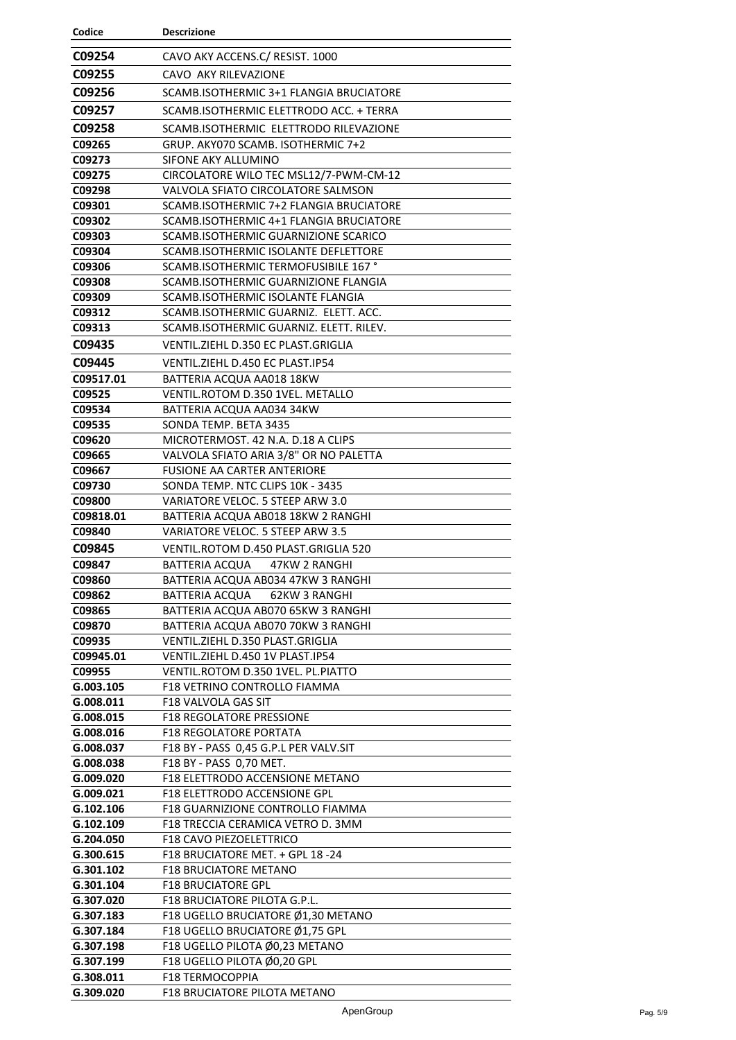| Codice                 | <b>Descrizione</b>                                                           |
|------------------------|------------------------------------------------------------------------------|
| C09254                 | CAVO AKY ACCENS.C/ RESIST. 1000                                              |
| C09255                 | CAVO AKY RILEVAZIONE                                                         |
| C09256                 | SCAMB.ISOTHERMIC 3+1 FLANGIA BRUCIATORE                                      |
| C09257                 | SCAMB. ISOTHERMIC ELETTRODO ACC. + TERRA                                     |
|                        |                                                                              |
| C09258                 | SCAMB.ISOTHERMIC ELETTRODO RILEVAZIONE                                       |
| C09265<br>C09273       | GRUP. AKY070 SCAMB. ISOTHERMIC 7+2                                           |
| C09275                 | SIFONE AKY ALLUMINO<br>CIRCOLATORE WILO TEC MSL12/7-PWM-CM-12                |
| C09298                 | VALVOLA SFIATO CIRCOLATORE SALMSON                                           |
| C09301                 | SCAMB.ISOTHERMIC 7+2 FLANGIA BRUCIATORE                                      |
| C09302                 | SCAMB.ISOTHERMIC 4+1 FLANGIA BRUCIATORE                                      |
| C09303                 | SCAMB. ISOTHERMIC GUARNIZIONE SCARICO                                        |
| C09304                 | SCAMB. ISOTHERMIC ISOLANTE DEFLETTORE                                        |
| C09306                 | SCAMB.ISOTHERMIC TERMOFUSIBILE 167°                                          |
| C09308                 | SCAMB.ISOTHERMIC GUARNIZIONE FLANGIA                                         |
| C09309                 | SCAMB.ISOTHERMIC ISOLANTE FLANGIA                                            |
| C09312                 | SCAMB.ISOTHERMIC GUARNIZ. ELETT. ACC.                                        |
| C09313                 | SCAMB.ISOTHERMIC GUARNIZ. ELETT. RILEV.                                      |
| C09435                 | VENTIL.ZIEHL D.350 EC PLAST.GRIGLIA                                          |
| C09445                 | VENTIL.ZIEHL D.450 EC PLAST.IP54                                             |
| C09517.01              | BATTERIA ACQUA AA018 18KW                                                    |
| C09525                 | VENTIL.ROTOM D.350 1VEL. METALLO                                             |
| C09534                 | BATTERIA ACQUA AA034 34KW                                                    |
| C09535                 | SONDA TEMP. BETA 3435                                                        |
| C09620                 | MICROTERMOST. 42 N.A. D.18 A CLIPS<br>VALVOLA SFIATO ARIA 3/8" OR NO PALETTA |
| C09665<br>C09667       | FUSIONE AA CARTER ANTERIORE                                                  |
| C09730                 | SONDA TEMP. NTC CLIPS 10K - 3435                                             |
| C09800                 | VARIATORE VELOC. 5 STEEP ARW 3.0                                             |
| C09818.01              | BATTERIA ACQUA AB018 18KW 2 RANGHI                                           |
| C09840                 | VARIATORE VELOC. 5 STEEP ARW 3.5                                             |
| C09845                 | VENTIL.ROTOM D.450 PLAST.GRIGLIA 520                                         |
| C09847                 | 47KW 2 RANGHI<br>BATTERIA ACQUA                                              |
| C09860                 | BATTERIA ACQUA AB034 47KW 3 RANGHI                                           |
| C09862                 | BATTERIA ACQUA<br>62KW 3 RANGHI                                              |
| C09865                 | BATTERIA ACQUA AB070 65KW 3 RANGHI                                           |
| C09870                 | BATTERIA ACQUA AB070 70KW 3 RANGHI                                           |
| C09935                 | VENTIL.ZIEHL D.350 PLAST.GRIGLIA                                             |
| C09945.01              | VENTIL.ZIEHL D.450 1V PLAST.IP54                                             |
| C09955<br>G.003.105    | VENTIL.ROTOM D.350 1VEL. PL.PIATTO<br>F18 VETRINO CONTROLLO FIAMMA           |
| G.008.011              | F18 VALVOLA GAS SIT                                                          |
| G.008.015              | <b>F18 REGOLATORE PRESSIONE</b>                                              |
| G.008.016              | <b>F18 REGOLATORE PORTATA</b>                                                |
| G.008.037              | F18 BY - PASS 0,45 G.P.L PER VALV.SIT                                        |
| G.008.038              | F18 BY - PASS 0,70 MET.                                                      |
| G.009.020              | F18 ELETTRODO ACCENSIONE METANO                                              |
| G.009.021              | <b>F18 ELETTRODO ACCENSIONE GPL</b>                                          |
| G.102.106              | F18 GUARNIZIONE CONTROLLO FIAMMA                                             |
| G.102.109              | F18 TRECCIA CERAMICA VETRO D. 3MM                                            |
| G.204.050              | F18 CAVO PIEZOELETTRICO                                                      |
| G.300.615<br>G.301.102 | F18 BRUCIATORE MET. + GPL 18 -24<br><b>F18 BRUCIATORE METANO</b>             |
| G.301.104              | <b>F18 BRUCIATORE GPL</b>                                                    |
| G.307.020              | F18 BRUCIATORE PILOTA G.P.L.                                                 |
| G.307.183              | F18 UGELLO BRUCIATORE Ø1,30 METANO                                           |
| G.307.184              | F18 UGELLO BRUCIATORE Ø1,75 GPL                                              |
| G.307.198              | F18 UGELLO PILOTA Ø0,23 METANO                                               |
| G.307.199              | F18 UGELLO PILOTA Ø0,20 GPL                                                  |
| G.308.011              | F18 TERMOCOPPIA                                                              |
| G.309.020              | F18 BRUCIATORE PILOTA METANO                                                 |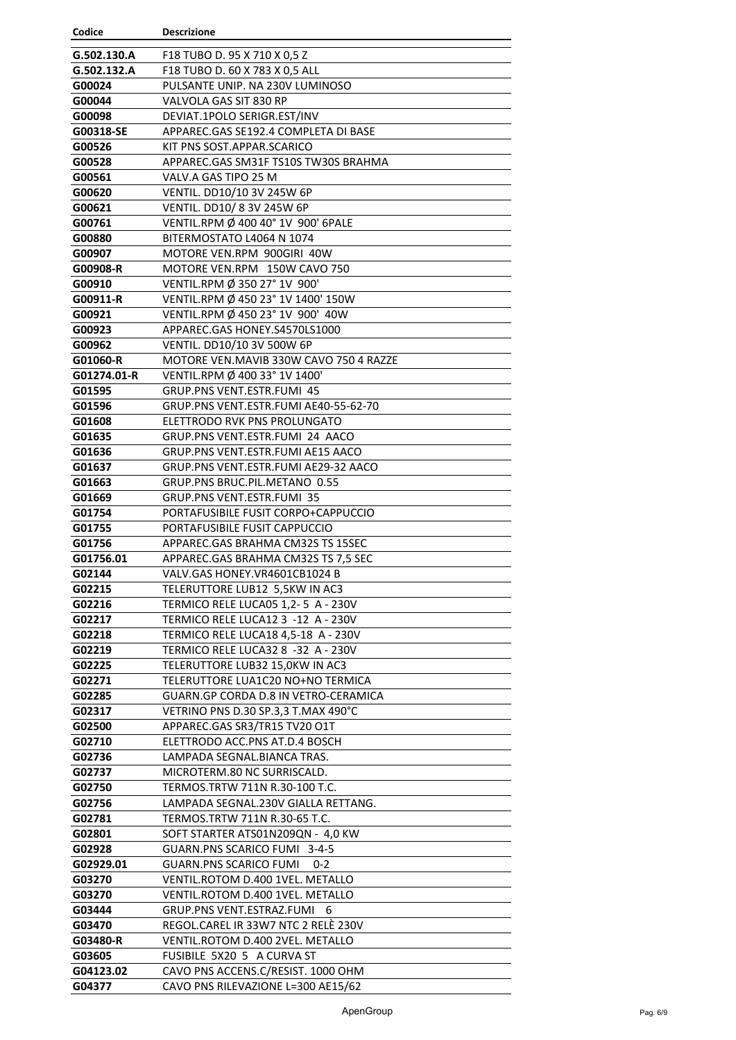| Codice           | <b>Descrizione</b>                                                   |
|------------------|----------------------------------------------------------------------|
| G.502.130.A      | F18 TUBO D. 95 X 710 X 0,5 Z                                         |
| G.502.132.A      | F18 TUBO D. 60 X 783 X 0,5 ALL                                       |
| G00024           | PULSANTE UNIP. NA 230V LUMINOSO                                      |
| G00044           | VALVOLA GAS SIT 830 RP                                               |
| G00098           | DEVIAT.1POLO SERIGR.EST/INV                                          |
| G00318-SE        | APPAREC.GAS SE192.4 COMPLETA DI BASE                                 |
| G00526           | KIT PNS SOST.APPAR.SCARICO                                           |
| G00528           | APPAREC.GAS SM31F TS10S TW30S BRAHMA                                 |
| G00561           | VALV.A GAS TIPO 25 M                                                 |
| G00620           | VENTIL. DD10/10 3V 245W 6P                                           |
| G00621           | VENTIL. DD10/83V 245W 6P                                             |
| G00761           | VENTIL.RPM Ø 400 40° 1V 900' 6PALE                                   |
| G00880           | BITERMOSTATO L4064 N 1074                                            |
| G00907           | MOTORE VEN.RPM 900GIRI 40W                                           |
| G00908-R         | MOTORE VEN.RPM 150W CAVO 750                                         |
| G00910           | VENTIL.RPM Ø 350 27° 1V 900'                                         |
| G00911-R         | VENTIL.RPM Ø 450 23° 1V 1400' 150W                                   |
| G00921           | VENTIL.RPM Ø 450 23° 1V 900' 40W                                     |
| G00923           | APPAREC.GAS HONEY.S4570LS1000                                        |
| G00962           | VENTIL. DD10/10 3V 500W 6P                                           |
| G01060-R         | MOTORE VEN. MAVIB 330W CAVO 750 4 RAZZE                              |
| G01274.01-R      | VENTIL.RPM Ø 400 33° 1V 1400'                                        |
| G01595           | GRUP.PNS VENT.ESTR.FUMI_45                                           |
| G01596           | GRUP.PNS VENT.ESTR.FUMI AE40-55-62-70                                |
| G01608           | ELETTRODO RVK PNS PROLUNGATO                                         |
| G01635           | GRUP.PNS VENT.ESTR.FUMI 24 AACO                                      |
| G01636           | GRUP.PNS VENT.ESTR.FUMI AE15 AACO                                    |
| G01637           | GRUP.PNS VENT.ESTR.FUMI AE29-32 AACO                                 |
| G01663           | GRUP.PNS BRUC.PIL.METANO 0.55                                        |
| G01669           | <b>GRUP.PNS VENT.ESTR.FUMI 35</b>                                    |
| G01754           | PORTAFUSIBILE FUSIT CORPO+CAPPUCCIO                                  |
| G01755           | PORTAFUSIBILE FUSIT CAPPUCCIO                                        |
| G01756           | APPAREC.GAS BRAHMA CM32S TS 15SEC                                    |
| G01756.01        | APPAREC.GAS BRAHMA CM32S TS 7,5 SEC                                  |
| G02144           | VALV.GAS HONEY.VR4601CB1024 B                                        |
| G02215           | TELERUTTORE LUB12 5,5KW IN AC3                                       |
| G02216           | TERMICO RELE LUCA05 1,2-5 A - 230V                                   |
| G02217           | TERMICO RELE LUCA12 3 -12 A - 230V                                   |
| G02218           | TERMICO RELE LUCA18 4,5-18 A - 230V                                  |
| G02219           | TERMICO RELE LUCA32 8 -32 A - 230V                                   |
| G02225           | TELERUTTORE LUB32 15,0KW IN AC3                                      |
| G02271<br>G02285 | TELERUTTORE LUA1C20 NO+NO TERMICA                                    |
|                  | GUARN.GP CORDA D.8 IN VETRO-CERAMICA                                 |
| G02317<br>G02500 | VETRINO PNS D.30 SP.3,3 T.MAX 490°C<br>APPAREC.GAS SR3/TR15 TV20 O1T |
| G02710           | ELETTRODO ACC.PNS AT.D.4 BOSCH                                       |
| G02736           | LAMPADA SEGNAL.BIANCA TRAS.                                          |
| G02737           | MICROTERM.80 NC SURRISCALD.                                          |
| G02750           | TERMOS.TRTW 711N R.30-100 T.C.                                       |
| G02756           | LAMPADA SEGNAL.230V GIALLA RETTANG.                                  |
| G02781           | TERMOS.TRTW 711N R.30-65 T.C.                                        |
| G02801           | SOFT STARTER ATS01N209QN - 4,0 KW                                    |
| G02928           | GUARN.PNS SCARICO FUMI 3-4-5                                         |
| G02929.01        | <b>GUARN.PNS SCARICO FUMI</b><br>$0 - 2$                             |
| G03270           | VENTIL.ROTOM D.400 1VEL. METALLO                                     |
| G03270           | VENTIL.ROTOM D.400 1VEL. METALLO                                     |
| G03444           | GRUP.PNS VENT.ESTRAZ.FUMI<br>6                                       |
| G03470           | REGOL.CAREL IR 33W7 NTC 2 RELÈ 230V                                  |
| G03480-R         | VENTIL.ROTOM D.400 2VEL. METALLO                                     |
| G03605           | FUSIBILE 5X20 5 A CURVA ST                                           |
| G04123.02        | CAVO PNS ACCENS.C/RESIST. 1000 OHM                                   |
| G04377           | CAVO PNS RILEVAZIONE L=300 AE15/62                                   |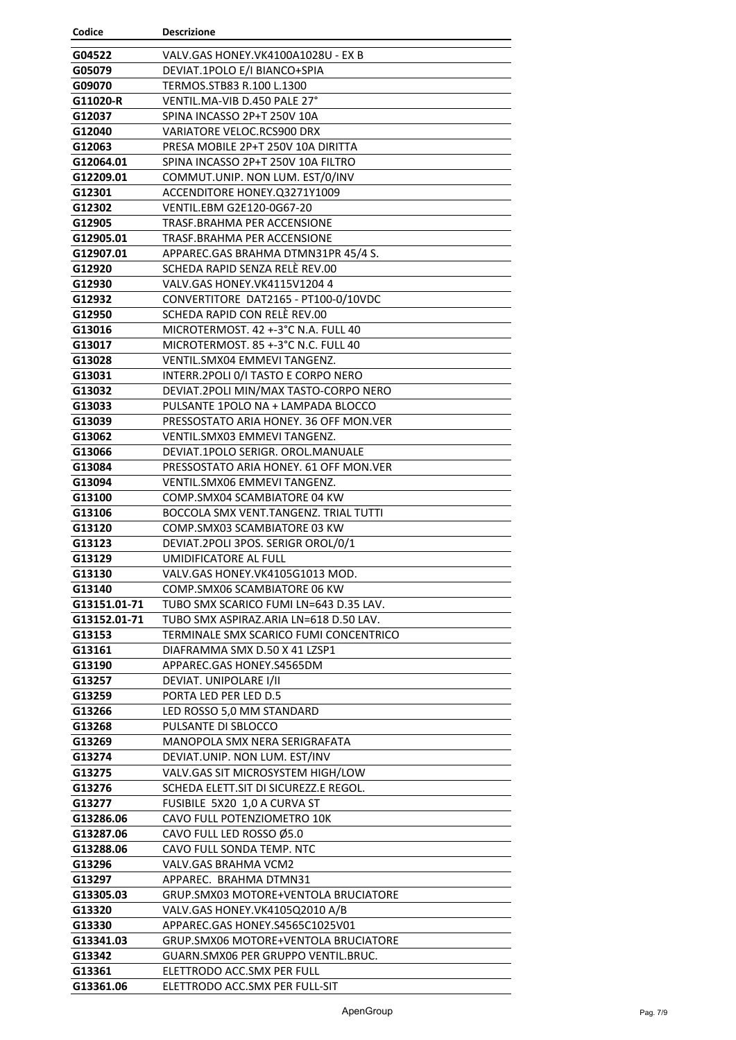| Codice           | <b>Descrizione</b>                              |
|------------------|-------------------------------------------------|
| G04522           | VALV.GAS HONEY.VK4100A1028U - EX B              |
| G05079           | DEVIAT.1POLO E/I BIANCO+SPIA                    |
| G09070           | TERMOS.STB83 R.100 L.1300                       |
| G11020-R         | VENTIL.MA-VIB D.450 PALE 27°                    |
| G12037           | SPINA INCASSO 2P+T 250V 10A                     |
| G12040           | <b>VARIATORE VELOC.RCS900 DRX</b>               |
| G12063           | PRESA MOBILE 2P+T 250V 10A DIRITTA              |
| G12064.01        | SPINA INCASSO 2P+T 250V 10A FILTRO              |
| G12209.01        | COMMUT.UNIP. NON LUM. EST/0/INV                 |
| G12301           | ACCENDITORE HONEY.03271Y1009                    |
| G12302           | VENTIL.EBM G2E120-0G67-20                       |
| G12905           | TRASF.BRAHMA PER ACCENSIONE                     |
| G12905.01        | TRASF.BRAHMA PER ACCENSIONE                     |
| G12907.01        | APPAREC.GAS BRAHMA DTMN31PR 45/4 S.             |
| G12920           | SCHEDA RAPID SENZA RELÈ REV.00                  |
| G12930           | VALV.GAS HONEY.VK4115V1204 4                    |
| G12932           | CONVERTITORE DAT2165 - PT100-0/10VDC            |
| G12950           | SCHEDA RAPID CON RELÉ REV.00                    |
| G13016           | MICROTERMOST, 42 +-3°C N.A. FULL 40             |
| G13017           | MICROTERMOST, 85 +-3°C N.C. FULL 40             |
| G13028           | <b>VENTIL.SMX04 EMMEVI TANGENZ.</b>             |
| G13031           | INTERR.2POLI 0/I TASTO E CORPO NERO             |
| G13032           | DEVIAT.2POLI MIN/MAX TASTO-CORPO NERO           |
| G13033           | PULSANTE 1POLO NA + LAMPADA BLOCCO              |
| G13039           | PRESSOSTATO ARIA HONEY. 36 OFF MON. VER         |
| G13062           | VENTIL.SMX03 EMMEVI TANGENZ.                    |
| G13066           | DEVIAT.1POLO SERIGR. OROL.MANUALE               |
| G13084           | PRESSOSTATO ARIA HONEY, 61 OFF MON. VER         |
| G13094           | VENTIL.SMX06 EMMEVI TANGENZ.                    |
| G13100           | COMP.SMX04 SCAMBIATORE 04 KW                    |
| G13106           | BOCCOLA SMX VENT.TANGENZ. TRIAL TUTTI           |
| G13120           | COMP.SMX03 SCAMBIATORE 03 KW                    |
| G13123           | DEVIAT.2POLI 3POS. SERIGR OROL/0/1              |
| G13129           | UMIDIFICATORE AL FULL                           |
| G13130           | VALV.GAS HONEY.VK4105G1013 MOD.                 |
| G13140           | COMP.SMX06 SCAMBIATORE 06 KW                    |
| G13151.01-71     | TUBO SMX SCARICO FUMI LN=643 D.35 LAV.          |
| G13152.01-71     | TUBO SMX ASPIRAZ.ARIA LN=618 D.50 LAV.          |
| G13153           | TERMINALE SMX SCARICO FUMI CONCENTRICO          |
| G13161           | DIAFRAMMA SMX D.50 X 41 LZSP1                   |
| G13190           | APPAREC.GAS HONEY.S4565DM                       |
| G13257<br>G13259 | DEVIAT. UNIPOLARE I/II<br>PORTA LED PER LED D.5 |
| G13266           | LED ROSSO 5,0 MM STANDARD                       |
| G13268           | PULSANTE DI SBLOCCO                             |
| G13269           | MANOPOLA SMX NERA SERIGRAFATA                   |
| G13274           | DEVIAT.UNIP. NON LUM. EST/INV                   |
| G13275           | VALV.GAS SIT MICROSYSTEM HIGH/LOW               |
| G13276           | SCHEDA ELETT.SIT DI SICUREZZ.E REGOL.           |
| G13277           | FUSIBILE 5X20 1,0 A CURVA ST                    |
| G13286.06        | CAVO FULL POTENZIOMETRO 10K                     |
| G13287.06        | CAVO FULL LED ROSSO Ø5.0                        |
| G13288.06        | CAVO FULL SONDA TEMP. NTC                       |
| G13296           | VALV.GAS BRAHMA VCM2                            |
| G13297           | APPAREC. BRAHMA DTMN31                          |
| G13305.03        | GRUP.SMX03 MOTORE+VENTOLA BRUCIATORE            |
| G13320           | VALV.GAS HONEY.VK4105Q2010 A/B                  |
| G13330           | APPAREC.GAS HONEY.S4565C1025V01                 |
| G13341.03        | GRUP.SMX06 MOTORE+VENTOLA BRUCIATORE            |
| G13342           | GUARN.SMX06 PER GRUPPO VENTIL.BRUC.             |
| G13361           | ELETTRODO ACC.SMX PER FULL                      |
| G13361.06        | ELETTRODO ACC.SMX PER FULL-SIT                  |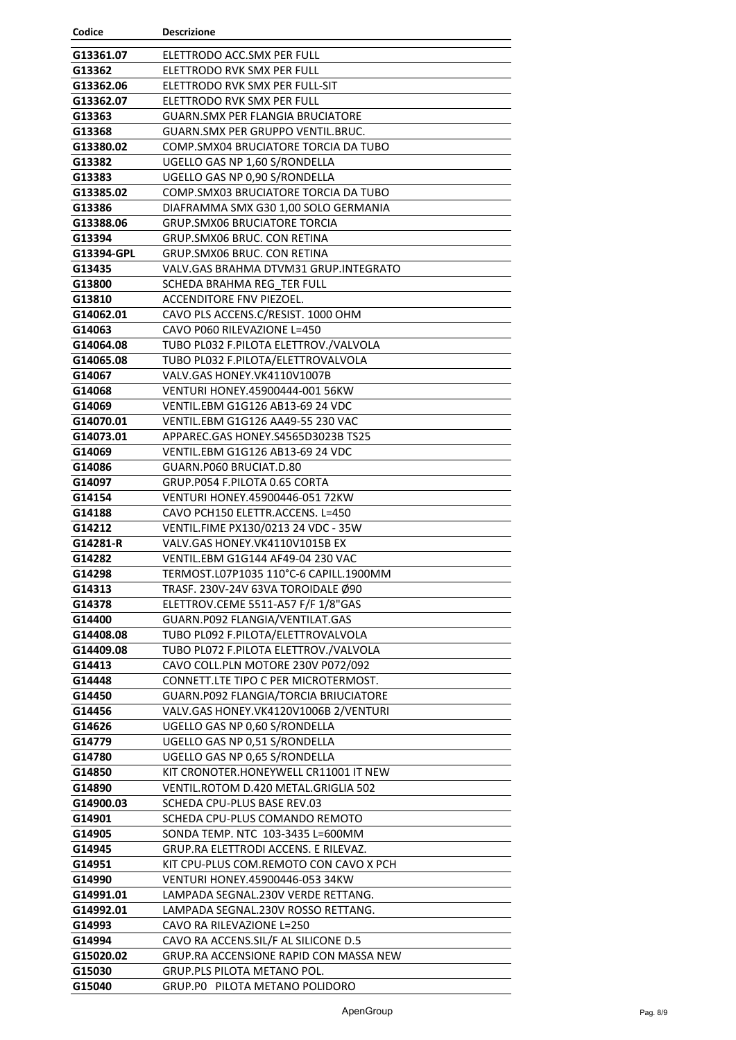| Codice              | <b>Descrizione</b>                                                       |
|---------------------|--------------------------------------------------------------------------|
| G13361.07           | ELETTRODO ACC.SMX PER FULL                                               |
| G13362              | ELETTRODO RVK SMX PER FULL                                               |
| G13362.06           | ELETTRODO RVK SMX PER FULL-SIT                                           |
| G13362.07           | ELETTRODO RVK SMX PER FULL                                               |
| G13363              | <b>GUARN.SMX PER FLANGIA BRUCIATORE</b>                                  |
| G13368              | GUARN.SMX PER GRUPPO VENTIL.BRUC.                                        |
| G13380.02           | COMP.SMX04 BRUCIATORE TORCIA DA TUBO                                     |
| G13382              | UGELLO GAS NP 1,60 S/RONDELLA                                            |
| G13383              | UGELLO GAS NP 0,90 S/RONDELLA                                            |
| G13385.02           | COMP. SMX03 BRUCIATORE TORCIA DA TUBO                                    |
| G13386              | DIAFRAMMA SMX G30 1,00 SOLO GERMANIA                                     |
| G13388.06           | <b>GRUP.SMX06 BRUCIATORE TORCIA</b>                                      |
| G13394              | GRUP.SMX06 BRUC. CON RETINA                                              |
| G13394-GPL          | GRUP.SMX06 BRUC. CON RETINA                                              |
| G13435              | VALV.GAS BRAHMA DTVM31 GRUP.INTEGRATO                                    |
| G13800              | SCHEDA BRAHMA REG TER FULL                                               |
| G13810              | <b>ACCENDITORE FNV PIEZOEL.</b>                                          |
| G14062.01           | CAVO PLS ACCENS.C/RESIST. 1000 OHM                                       |
| G14063              | CAVO P060 RILEVAZIONE L=450                                              |
| G14064.08           | TUBO PL032 F.PILOTA ELETTROV./VALVOLA                                    |
| G14065.08           | TUBO PL032 F.PILOTA/ELETTROVALVOLA                                       |
| G14067              | VALV.GAS HONEY.VK4110V1007B                                              |
| G14068              | VENTURI HONEY.45900444-001 56KW                                          |
| G14069              | VENTIL.EBM G1G126 AB13-69 24 VDC                                         |
| G14070.01           | VENTIL.EBM G1G126 AA49-55 230 VAC                                        |
| G14073.01           | APPAREC.GAS HONEY.S4565D3023B TS25                                       |
| G14069              | VENTIL.EBM G1G126 AB13-69 24 VDC                                         |
| G14086              | GUARN.P060 BRUCIAT.D.80                                                  |
| G14097              | GRUP.P054 F.PILOTA 0.65 CORTA                                            |
| G14154              | VENTURI HONEY.45900446-051 72KW                                          |
| G14188              | CAVO PCH150 ELETTR.ACCENS. L=450                                         |
| G14212              | VENTIL.FIME PX130/0213 24 VDC - 35W                                      |
| G14281-R            | VALV.GAS HONEY.VK4110V1015B EX                                           |
| G14282              | VENTIL.EBM G1G144 AF49-04 230 VAC                                        |
| G14298              | TERMOST.L07P1035 110°C-6 CAPILL.1900MM                                   |
| G14313              | TRASF. 230V-24V 63VA TOROIDALE Ø90                                       |
| G14378              | ELETTROV.CEME 5511-A57 F/F 1/8"GAS                                       |
| G14400              | GUARN.P092 FLANGIA/VENTILAT.GAS                                          |
| G14408.08           | TUBO PL092 F.PILOTA/ELETTROVALVOLA                                       |
| G14409.08           | TUBO PL072 F.PILOTA ELETTROV./VALVOLA                                    |
| G14413              | CAVO COLL.PLN MOTORE 230V P072/092                                       |
| G14448              | CONNETT.LTE TIPO C PER MICROTERMOST.                                     |
| G14450              | GUARN.P092 FLANGIA/TORCIA BRIUCIATORE                                    |
| G14456              | VALV.GAS HONEY.VK4120V1006B 2/VENTURI                                    |
| G14626              | UGELLO GAS NP 0,60 S/RONDELLA                                            |
| G14779              | UGELLO GAS NP 0,51 S/RONDELLA                                            |
| G14780              | UGELLO GAS NP 0,65 S/RONDELLA                                            |
| G14850              | KIT CRONOTER.HONEYWELL CR11001 IT NEW                                    |
| G14890<br>G14900.03 | VENTIL.ROTOM D.420 METAL.GRIGLIA 502<br>SCHEDA CPU-PLUS BASE REV.03      |
| G14901              | SCHEDA CPU-PLUS COMANDO REMOTO                                           |
|                     |                                                                          |
| G14905<br>G14945    | SONDA TEMP. NTC 103-3435 L=600MM<br>GRUP.RA ELETTRODI ACCENS. E RILEVAZ. |
| G14951              | KIT CPU-PLUS COM.REMOTO CON CAVO X PCH                                   |
| G14990              | <b>VENTURI HONEY.45900446-053 34KW</b>                                   |
| G14991.01           | LAMPADA SEGNAL.230V VERDE RETTANG.                                       |
| G14992.01           | LAMPADA SEGNAL.230V ROSSO RETTANG.                                       |
| G14993              | CAVO RA RILEVAZIONE L=250                                                |
| G14994              | CAVO RA ACCENS.SIL/F AL SILICONE D.5                                     |
| G15020.02           | GRUP.RA ACCENSIONE RAPID CON MASSA NEW                                   |
| G15030              | GRUP.PLS PILOTA METANO POL.                                              |
| G15040              | GRUP.PO PILOTA METANO POLIDORO                                           |